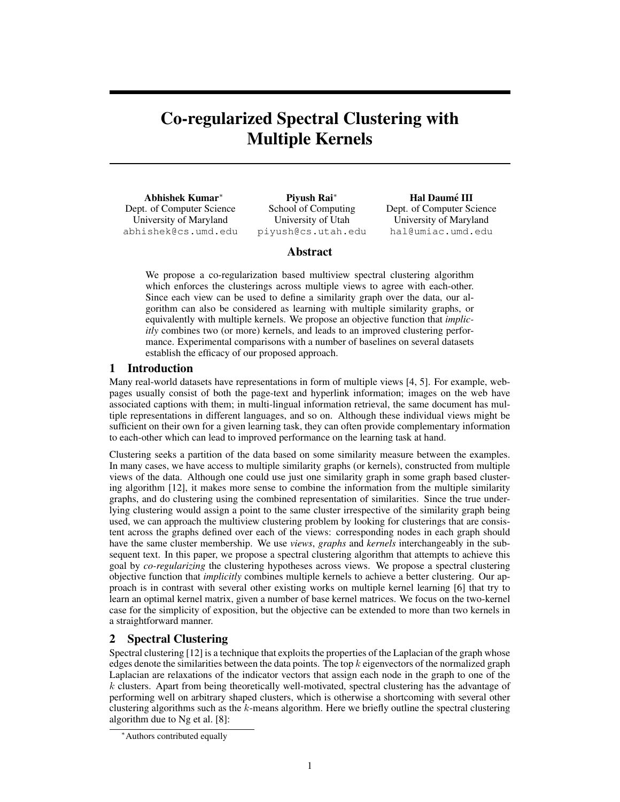# Co-regularized Spectral Clustering with Multiple Kernels

Abhishek Kumar<sup>∗</sup> Dept. of Computer Science University of Maryland abhishek@cs.umd.edu

Piyush Rai<sup>∗</sup> School of Computing University of Utah piyush@cs.utah.edu

Hal Daumé III Dept. of Computer Science University of Maryland hal@umiac.umd.edu

## Abstract

We propose a co-regularization based multiview spectral clustering algorithm which enforces the clusterings across multiple views to agree with each-other. Since each view can be used to define a similarity graph over the data, our algorithm can also be considered as learning with multiple similarity graphs, or equivalently with multiple kernels. We propose an objective function that *implicitly* combines two (or more) kernels, and leads to an improved clustering performance. Experimental comparisons with a number of baselines on several datasets establish the efficacy of our proposed approach.

## 1 Introduction

Many real-world datasets have representations in form of multiple views [4, 5]. For example, webpages usually consist of both the page-text and hyperlink information; images on the web have associated captions with them; in multi-lingual information retrieval, the same document has multiple representations in different languages, and so on. Although these individual views might be sufficient on their own for a given learning task, they can often provide complementary information to each-other which can lead to improved performance on the learning task at hand.

Clustering seeks a partition of the data based on some similarity measure between the examples. In many cases, we have access to multiple similarity graphs (or kernels), constructed from multiple views of the data. Although one could use just one similarity graph in some graph based clustering algorithm [12], it makes more sense to combine the information from the multiple similarity graphs, and do clustering using the combined representation of similarities. Since the true underlying clustering would assign a point to the same cluster irrespective of the similarity graph being used, we can approach the multiview clustering problem by looking for clusterings that are consistent across the graphs defined over each of the views: corresponding nodes in each graph should have the same cluster membership. We use *views*, *graphs* and *kernels* interchangeably in the subsequent text. In this paper, we propose a spectral clustering algorithm that attempts to achieve this goal by *co-regularizing* the clustering hypotheses across views. We propose a spectral clustering objective function that *implicitly* combines multiple kernels to achieve a better clustering. Our approach is in contrast with several other existing works on multiple kernel learning [6] that try to learn an optimal kernel matrix, given a number of base kernel matrices. We focus on the two-kernel case for the simplicity of exposition, but the objective can be extended to more than two kernels in a straightforward manner.

## 2 Spectral Clustering

Spectral clustering [12] is a technique that exploits the properties of the Laplacian of the graph whose edges denote the similarities between the data points. The top  $k$  eigenvectors of the normalized graph Laplacian are relaxations of the indicator vectors that assign each node in the graph to one of the k clusters. Apart from being theoretically well-motivated, spectral clustering has the advantage of performing well on arbitrary shaped clusters, which is otherwise a shortcoming with several other clustering algorithms such as the  $k$ -means algorithm. Here we briefly outline the spectral clustering algorithm due to Ng et al. [8]:

<sup>∗</sup>Authors contributed equally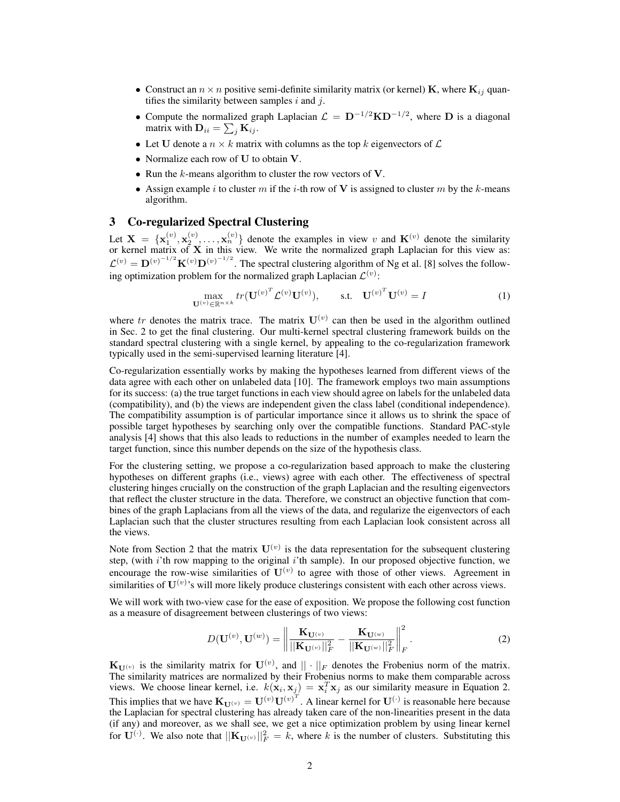- Construct an  $n \times n$  positive semi-definite similarity matrix (or kernel) **K**, where  $\mathbf{K}_{ij}$  quantifies the similarity between samples  $i$  and  $j$ .
- Compute the normalized graph Laplacian  $\mathcal{L} = D^{-1/2}KD^{-1/2}$ , where D is a diagonal matrix with  $\mathbf{D}_{ii} = \sum_j \mathbf{K}_{ij}$ .
- Let U denote a  $n \times k$  matrix with columns as the top k eigenvectors of  $\mathcal L$
- Normalize each row of U to obtain V.
- Run the  $k$ -means algorithm to cluster the row vectors of  $V$ .
- Assign example i to cluster m if the i-th row of V is assigned to cluster m by the k-means algorithm.

#### 3 Co-regularized Spectral Clustering

Let  $X = \{x_1^{(v)}, x_2^{(v)}, \ldots, x_n^{(v)}\}$  denote the examples in view v and  $K^{(v)}$  denote the similarity or kernel matrix of  $X$  in this view. We write the normalized graph Laplacian for this view as:  $\mathcal{L}^{(v)} = \mathbf{D}^{(v)-1/2} \mathbf{K}^{(v)} \mathbf{D}^{(v)-1/2}$ . The spectral clustering algorithm of Ng et al. [8] solves the following optimization problem for the normalized graph Laplacian  $\mathcal{L}^{(v)}$ :

$$
\max_{\mathbf{U}^{(v)} \in \mathbb{R}^{n \times k}} tr(\mathbf{U}^{(v)^{T}} \mathcal{L}^{(v)} \mathbf{U}^{(v)}), \quad \text{s.t.} \quad \mathbf{U}^{(v)^{T}} \mathbf{U}^{(v)} = I \tag{1}
$$

where tr denotes the matrix trace. The matrix  $U^{(v)}$  can then be used in the algorithm outlined in Sec. 2 to get the final clustering. Our multi-kernel spectral clustering framework builds on the standard spectral clustering with a single kernel, by appealing to the co-regularization framework typically used in the semi-supervised learning literature [4].

Co-regularization essentially works by making the hypotheses learned from different views of the data agree with each other on unlabeled data [10]. The framework employs two main assumptions for its success: (a) the true target functions in each view should agree on labels for the unlabeled data (compatibility), and (b) the views are independent given the class label (conditional independence). The compatibility assumption is of particular importance since it allows us to shrink the space of possible target hypotheses by searching only over the compatible functions. Standard PAC-style analysis [4] shows that this also leads to reductions in the number of examples needed to learn the target function, since this number depends on the size of the hypothesis class.

For the clustering setting, we propose a co-regularization based approach to make the clustering hypotheses on different graphs (i.e., views) agree with each other. The effectiveness of spectral clustering hinges crucially on the construction of the graph Laplacian and the resulting eigenvectors that reflect the cluster structure in the data. Therefore, we construct an objective function that combines of the graph Laplacians from all the views of the data, and regularize the eigenvectors of each Laplacian such that the cluster structures resulting from each Laplacian look consistent across all the views.

Note from Section 2 that the matrix  $U^{(v)}$  is the data representation for the subsequent clustering step, (with i'th row mapping to the original i'th sample). In our proposed objective function, we encourage the row-wise similarities of  $U^{(v)}$  to agree with those of other views. Agreement in similarities of  $\mathbf{U}^{(v)}$ 's will more likely produce clusterings consistent with each other across views.

We will work with two-view case for the ease of exposition. We propose the following cost function as a measure of disagreement between clusterings of two views:

$$
D(\mathbf{U}^{(v)}, \mathbf{U}^{(w)}) = \left\| \frac{\mathbf{K}_{\mathbf{U}^{(v)}}}{||\mathbf{K}_{\mathbf{U}^{(v)}}||_F^2} - \frac{\mathbf{K}_{\mathbf{U}^{(w)}}}{||\mathbf{K}_{\mathbf{U}^{(w)}}||_F^2} \right\|^2_F.
$$
 (2)

 $\mathbf{K}_{\mathbf{U}^{(v)}}$  is the similarity matrix for  $\mathbf{U}^{(v)}$ , and  $||\cdot||_F$  denotes the Frobenius norm of the matrix. The similarity matrices are normalized by their Frobenius norms to make them comparable across views. We choose linear kernel, i.e.  $k(\mathbf{x}_i, \mathbf{x}_j) = \mathbf{x}_i^T \mathbf{x}_j$  as our similarity measure in Equation 2. This implies that we have  $\mathbf{K}_{\mathbf{U}^{(v)}} = \mathbf{U}^{(v)}{\mathbf{U}^{(v)}}^T$ . A linear kernel for  $\mathbf{U}^{(\cdot)}$  is reasonable here because the Laplacian for spectral clustering has already taken care of the non-linearities present in the data (if any) and moreover, as we shall see, we get a nice optimization problem by using linear kernel for  $\mathbf{U}^{(\cdot)}$ . We also note that  $\|\mathbf{K}_{\mathbf{U}^{(v)}}\|_F^2 = k$ , where k is the number of clusters. Substituting this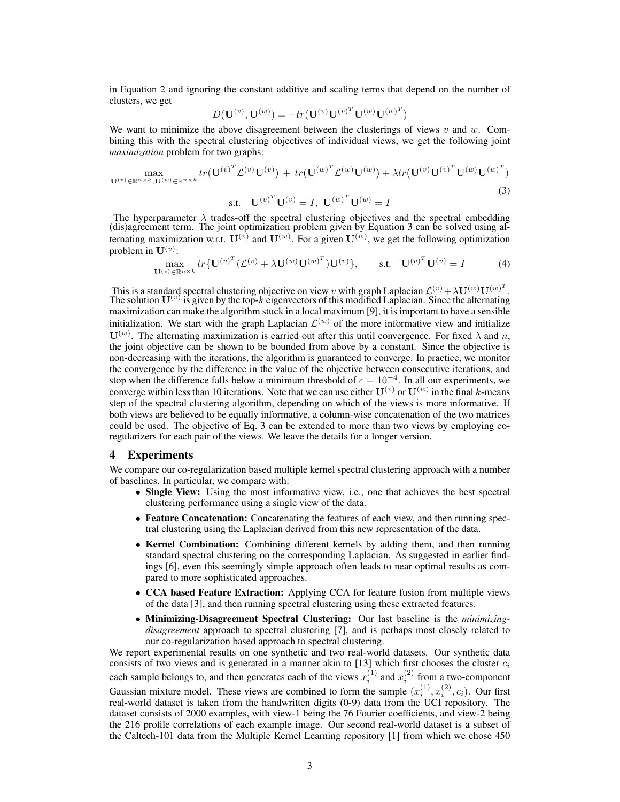in Equation 2 and ignoring the constant additive and scaling terms that depend on the number of clusters, we get

$$
D(\mathbf{U}^{(v)}, \mathbf{U}^{(w)}) = -tr(\mathbf{U}^{(v)} \mathbf{U}^{(v)^T} \mathbf{U}^{(w)} \mathbf{U}^{(w)^T})
$$

We want to minimize the above disagreement between the clusterings of views  $v$  and  $w$ . Combining this with the spectral clustering objectives of individual views, we get the following joint *maximization* problem for two graphs:

$$
\max_{\mathbf{U}^{(v)} \in \mathbb{R}^{n \times k}, \mathbf{U}^{(w)} \in \mathbb{R}^{n \times k}} tr(\mathbf{U}^{(v)^{T}} \mathcal{L}^{(v)} \mathbf{U}^{(v)}) + tr(\mathbf{U}^{(w)^{T}} \mathcal{L}^{(w)} \mathbf{U}^{(w)}) + \lambda tr(\mathbf{U}^{(v)} \mathbf{U}^{(v)^{T}} \mathbf{U}^{(w)} \mathbf{U}^{(w)^{T}})
$$
\n
$$
\mathbf{U}^{(v)} \in \mathbb{R}^{n \times k}, \mathbf{U}^{(w)} \in \mathbb{R}^{n \times k}
$$
\n(3)

s.t. 
$$
U^{(v)^T}U^{(v)} = I
$$
,  $U^{(w)^T}U^{(w)} = I$ 

The hyperparameter  $\lambda$  trades-off the spectral clustering objectives and the spectral embedding (dis)agreement term. The joint optimization problem given by Equation 3 can be solved using alternating maximization w.r.t.  $\mathbf{U}^{(v)}$  and  $\mathbf{U}^{(w)}$ . For a given  $\mathbf{U}^{(w)}$ , we get the following optimization problem in  $\mathbf{U}^{(v)}$ :

$$
\max_{\mathbf{U}^{(v)} \in \mathbb{R}^{n \times k}} tr \{ \mathbf{U}^{(v)^{T}} (\mathcal{L}^{(v)} + \lambda \mathbf{U}^{(w)} \mathbf{U}^{(w)^{T}}) \mathbf{U}^{(v)} \}, \qquad \text{s.t.} \quad \mathbf{U}^{(v)^{T}} \mathbf{U}^{(v)} = I \tag{4}
$$

This is a standard spectral clustering objective on view v with graph Laplacian  $\mathcal{L}^{(v)} + \lambda \mathbf{U}^{(w)} \mathbf{U}^{(w)^{T}}$ .<br>The solution  $\mathbf{U}^{(v)}$  is given by the top-k eigenvectors of this modified Laplacian. Since the al maximization can make the algorithm stuck in a local maximum [9], it is important to have a sensible initialization. We start with the graph Laplacian  $\mathcal{L}^{(w)}$  of the more informative view and initialize  $\mathbf{U}^{(w)}$ . The alternating maximization is carried out after this until convergence. For fixed  $\lambda$  and n, the joint objective can be shown to be bounded from above by a constant. Since the objective is non-decreasing with the iterations, the algorithm is guaranteed to converge. In practice, we monitor the convergence by the difference in the value of the objective between consecutive iterations, and stop when the difference falls below a minimum threshold of  $\epsilon = 10^{-4}$ . In all our experiments, we converge within less than 10 iterations. Note that we can use either  $\mathbf{U}^{(v)}$  or  $\mathbf{U}^{(w)}$  in the final k-means step of the spectral clustering algorithm, depending on which of the views is more informative. If both views are believed to be equally informative, a column-wise concatenation of the two matrices could be used. The objective of Eq. 3 can be extended to more than two views by employing coregularizers for each pair of the views. We leave the details for a longer version.

#### 4 Experiments

We compare our co-regularization based multiple kernel spectral clustering approach with a number of baselines. In particular, we compare with:

- Single View: Using the most informative view, i.e., one that achieves the best spectral clustering performance using a single view of the data.
- Feature Concatenation: Concatenating the features of each view, and then running spectral clustering using the Laplacian derived from this new representation of the data.
- Kernel Combination: Combining different kernels by adding them, and then running standard spectral clustering on the corresponding Laplacian. As suggested in earlier findings [6], even this seemingly simple approach often leads to near optimal results as compared to more sophisticated approaches.
- CCA based Feature Extraction: Applying CCA for feature fusion from multiple views of the data [3], and then running spectral clustering using these extracted features.
- Minimizing-Disagreement Spectral Clustering: Our last baseline is the *minimizingdisagreement* approach to spectral clustering [7], and is perhaps most closely related to our co-regularization based approach to spectral clustering.

We report experimental results on one synthetic and two real-world datasets. Our synthetic data consists of two views and is generated in a manner akin to [13] which first chooses the cluster  $c_i$ each sample belongs to, and then generates each of the views  $x_i^{(1)}$  and  $x_i^{(2)}$  from a two-component Gaussian mixture model. These views are combined to form the sample  $(x_i^{(1)}, x_i^{(2)}, c_i)$ . Our first

real-world dataset is taken from the handwritten digits (0-9) data from the UCI repository. The dataset consists of 2000 examples, with view-1 being the 76 Fourier coefficients, and view-2 being the 216 profile correlations of each example image. Our second real-world dataset is a subset of the Caltech-101 data from the Multiple Kernel Learning repository [1] from which we chose 450